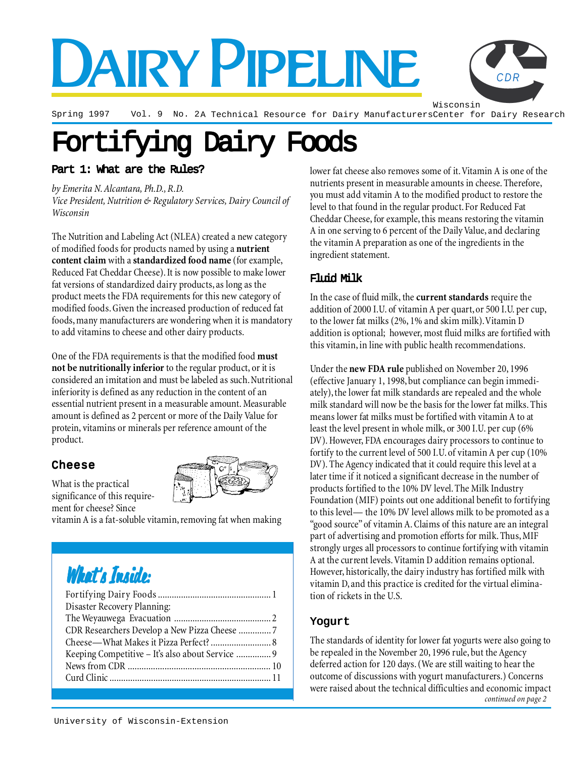# DAIRY PIPELINE

Wisconsin

*CDR*

Spring 1997 Vol. 9 No. 2A Technical Resource for Dairy Manufacturers Center for Dairy Research

# Fortifying Dairy Foods Fortifying Dairy Foods

#### Part 1: What are the Rules?

*by Emerita N. Alcantara, Ph.D., R.D. Vice President, Nutrition & Regulatory Services, Dairy Council of Wisconsin*

The Nutrition and Labeling Act (NLEA) created a new category of modified foods for products named by using a **nutrient content claim** with a **standardized food name** (for example, Reduced Fat Cheddar Cheese). It is now possible to make lower fat versions of standardized dairy products, as long as the product meets the FDA requirements for this new category of modified foods. Given the increased production of reduced fat foods, many manufacturers are wondering when it is mandatory to add vitamins to cheese and other dairy products.

One of the FDA requirements is that the modified food **must not be nutritionally inferior** to the regular product, or it is considered an imitation and must be labeled as such. Nutritional inferiority is defined as any reduction in the content of an essential nutrient present in a measurable amount. Measurable amount is defined as 2 percent or more of the Daily Value for protein, vitamins or minerals per reference amount of the product.

#### Cheese

What is the practical significance of this requirement for cheese? Since



vitamin A is a fat-soluble vitamin, removing fat when making

### What's Inside:

| Disaster Recovery Planning:                      |  |
|--------------------------------------------------|--|
|                                                  |  |
| CDR Researchers Develop a New Pizza Cheese 7     |  |
|                                                  |  |
| Keeping Competitive – It's also about Service  9 |  |
|                                                  |  |
|                                                  |  |
|                                                  |  |

lower fat cheese also removes some of it. Vitamin A is one of the nutrients present in measurable amounts in cheese. Therefore, you must add vitamin A to the modified product to restore the level to that found in the regular product. For Reduced Fat Cheddar Cheese, for example, this means restoring the vitamin A in one serving to 6 percent of the Daily Value, and declaring the vitamin A preparation as one of the ingredients in the ingredient statement.

#### Fluid Milk

In the case of fluid milk, the **current standards** require the addition of 2000 I.U. of vitamin A per quart, or 500 I.U. per cup, to the lower fat milks (2%, 1% and skim milk). Vitamin D addition is optional; however, most fluid milks are fortified with this vitamin, in line with public health recommendations.

Under the **new FDA rule** published on November 20, 1996 (effective January 1, 1998, but compliance can begin immediately), the lower fat milk standards are repealed and the whole milk standard will now be the basis for the lower fat milks. This means lower fat milks must be fortified with vitamin A to at least the level present in whole milk, or 300 I.U. per cup (6% DV). However, FDA encourages dairy processors to continue to fortify to the current level of 500 I.U. of vitamin A per cup (10% DV). The Agency indicated that it could require this level at a later time if it noticed a significant decrease in the number of products fortified to the 10% DV level. The Milk Industry Foundation (MIF) points out one additional benefit to fortifying to this level— the 10% DV level allows milk to be promoted as a "good source" of vitamin A. Claims of this nature are an integral part of advertising and promotion efforts for milk. Thus, MIF strongly urges all processors to continue fortifying with vitamin A at the current levels. Vitamin D addition remains optional. However, historically, the dairy industry has fortified milk with vitamin D, and this practice is credited for the virtual elimination of rickets in the U.S.

#### Yogurt

*continued on page 2* The standards of identity for lower fat yogurts were also going to be repealed in the November 20, 1996 rule, but the Agency deferred action for 120 days. (We are still waiting to hear the outcome of discussions with yogurt manufacturers.) Concerns were raised about the technical difficulties and economic impact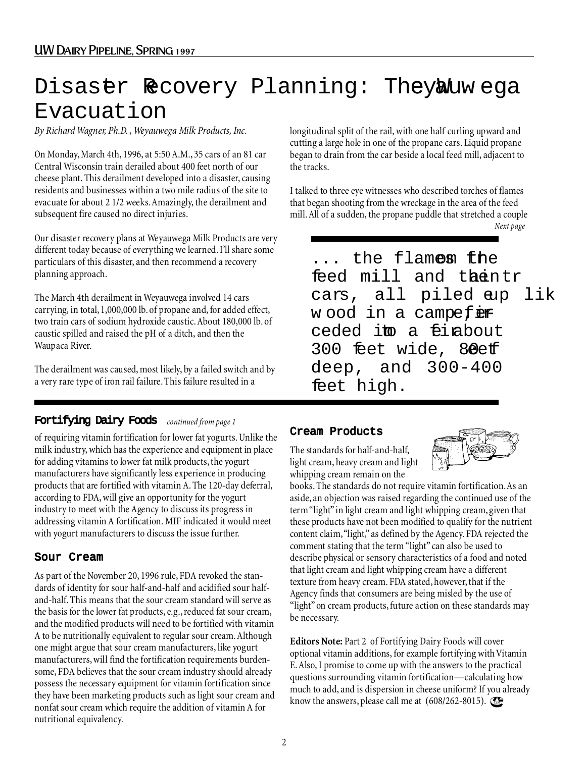### Disastr Recovery Planning: TheyWuw ega Evacuation

*By Richard Wagner, Ph.D. , Weyauwega Milk Products, Inc.*

On Monday, March 4th, 1996, at 5:50 A.M., 35 cars of an 81 car Central Wisconsin train derailed about 400 feet north of our cheese plant. This derailment developed into a disaster, causing residents and businesses within a two mile radius of the site to evacuate for about 2 1/2 weeks. Amazingly, the derailment and subsequent fire caused no direct injuries.

Our disaster recovery plans at Weyauwega Milk Products are very different today because of everything we learned. I'll share some particulars of this disaster, and then recommend a recovery planning approach.

The March 4th derailment in Weyauwega involved 14 cars carrying, in total, 1,000,000 lb. of propane and, for added effect, two train cars of sodium hydroxide caustic. About 180,000 lb. of caustic spilled and raised the pH of a ditch, and then the Waupaca River.

The derailment was caused, most likely, by a failed switch and by a very rare type of iron rail failure. This failure resulted in a

#### Fortifying Dairy Foods *continued from page 1*

of requiring vitamin fortification for lower fat yogurts. Unlike the milk industry, which has the experience and equipment in place for adding vitamins to lower fat milk products, the yogurt manufacturers have significantly less experience in producing products that are fortified with vitamin A. The 120-day deferral, according to FDA, will give an opportunity for the yogurt industry to meet with the Agency to discuss its progress in addressing vitamin A fortification. MIF indicated it would meet with yogurt manufacturers to discuss the issue further.

#### Sour Cream

As part of the November 20, 1996 rule, FDA revoked the standards of identity for sour half-and-half and acidified sour halfand-half. This means that the sour cream standard will serve as the basis for the lower fat products, e.g., reduced fat sour cream, and the modified products will need to be fortified with vitamin A to be nutritionally equivalent to regular sour cream. Although one might argue that sour cream manufacturers, like yogurt manufacturers, will find the fortification requirements burdensome, FDA believes that the sour cream industry should already possess the necessary equipment for vitamin fortification since they have been marketing products such as light sour cream and nonfat sour cream which require the addition of vitamin A for nutritional equivalency.

longitudinal split of the rail, with one half curling upward and cutting a large hole in one of the propane cars. Liquid propane began to drain from the car beside a local feed mill, adjacent to the tracks.

I talked to three eye witnesses who described torches of flames that began shooting from the wreckage in the area of the feed mill. All of a sudden, the propane puddle that stretched a couple *Next page*

 $\dot O$ ... the flamens the feed mill and thentr cars, all piled aup lik w ood in a campefer ceded im a finabout 300 feet wide, 80et deep, and 300-400 feet high.Ó

#### Cream Products

The standards for half-and-half, light cream, heavy cream and light whipping cream remain on the



books. The standards do not require vitamin fortification. As an aside, an objection was raised regarding the continued use of the term "light" in light cream and light whipping cream, given that these products have not been modified to qualify for the nutrient content claim, "light," as defined by the Agency. FDA rejected the comment stating that the term "light" can also be used to describe physical or sensory characteristics of a food and noted that light cream and light whipping cream have a different texture from heavy cream. FDA stated, however, that if the Agency finds that consumers are being misled by the use of "light" on cream products, future action on these standards may be necessary.

**Editors Note:** Part 2 of Fortifying Dairy Foods will cover optional vitamin additions, for example fortifying with Vitamin E. Also, I promise to come up with the answers to the practical questions surrounding vitamin fortification—calculating how much to add, and is dispersion in cheese uniform? If you already know the answers, please call me at  $(608/262$ -8015).  $\textcircled{\tiny{S}}$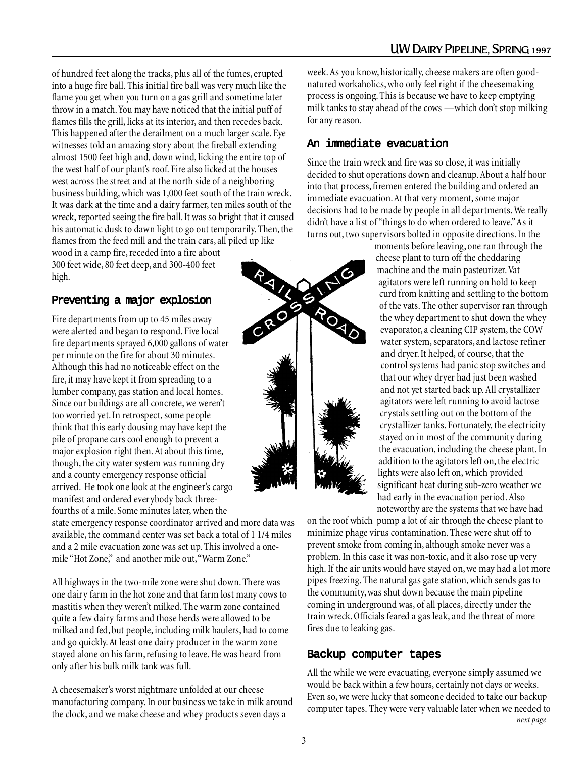of hundred feet along the tracks, plus all of the fumes, erupted into a huge fire ball. This initial fire ball was very much like the flame you get when you turn on a gas grill and sometime later throw in a match. You may have noticed that the initial puff of flames fills the grill, licks at its interior, and then recedes back. This happened after the derailment on a much larger scale. Eye witnesses told an amazing story about the fireball extending almost 1500 feet high and, down wind, licking the entire top of the west half of our plant's roof. Fire also licked at the houses west across the street and at the north side of a neighboring business building, which was 1,000 feet south of the train wreck. It was dark at the time and a dairy farmer, ten miles south of the wreck, reported seeing the fire ball. It was so bright that it caused his automatic dusk to dawn light to go out temporarily. Then, the flames from the feed mill and the train cars, all piled up like wood in a camp fire, receded into a fire about

300 feet wide, 80 feet deep, and 300-400 feet high.

#### Preventing a major explosion

Fire departments from up to 45 miles away were alerted and began to respond. Five local fire departments sprayed 6,000 gallons of water per minute on the fire for about 30 minutes. Although this had no noticeable effect on the fire, it may have kept it from spreading to a lumber company, gas station and local homes. Since our buildings are all concrete, we weren't too worried yet. In retrospect, some people think that this early dousing may have kept the pile of propane cars cool enough to prevent a major explosion right then. At about this time, though, the city water system was running dry and a county emergency response official arrived. He took one look at the engineer's cargo manifest and ordered everybody back threefourths of a mile. Some minutes later, when the

state emergency response coordinator arrived and more data was available, the command center was set back a total of 1 1/4 miles and a 2 mile evacuation zone was set up. This involved a onemile "Hot Zone," and another mile out, "Warm Zone."

All highways in the two-mile zone were shut down. There was one dairy farm in the hot zone and that farm lost many cows to mastitis when they weren't milked. The warm zone contained quite a few dairy farms and those herds were allowed to be milked and fed, but people, including milk haulers, had to come and go quickly. At least one dairy producer in the warm zone stayed alone on his farm, refusing to leave. He was heard from only after his bulk milk tank was full.

A cheesemaker's worst nightmare unfolded at our cheese manufacturing company. In our business we take in milk around the clock, and we make cheese and whey products seven days a

week. As you know, historically, cheese makers are often goodnatured workaholics, who only feel right if the cheesemaking process is ongoing. This is because we have to keep emptying milk tanks to stay ahead of the cows —which don't stop milking for any reason.

#### An immediate evacuation

Since the train wreck and fire was so close, it was initially decided to shut operations down and cleanup. About a half hour into that process, firemen entered the building and ordered an immediate evacuation. At that very moment, some major decisions had to be made by people in all departments. We really didn't have a list of "things to do when ordered to leave." As it turns out, two supervisors bolted in opposite directions. In the



moments before leaving, one ran through the cheese plant to turn off the cheddaring machine and the main pasteurizer. Vat agitators were left running on hold to keep curd from knitting and settling to the bottom of the vats. The other supervisor ran through the whey department to shut down the whey evaporator, a cleaning CIP system, the COW water system, separators, and lactose refiner and dryer. It helped, of course, that the control systems had panic stop switches and that our whey dryer had just been washed and not yet started back up. All crystallizer agitators were left running to avoid lactose crystals settling out on the bottom of the crystallizer tanks. Fortunately, the electricity stayed on in most of the community during the evacuation, including the cheese plant. In addition to the agitators left on, the electric lights were also left on, which provided significant heat during sub-zero weather we had early in the evacuation period. Also noteworthy are the systems that we have had

on the roof which pump a lot of air through the cheese plant to minimize phage virus contamination. These were shut off to prevent smoke from coming in, although smoke never was a problem. In this case it was non-toxic, and it also rose up very high. If the air units would have stayed on, we may had a lot more pipes freezing. The natural gas gate station, which sends gas to the community, was shut down because the main pipeline coming in underground was, of all places, directly under the train wreck. Officials feared a gas leak, and the threat of more fires due to leaking gas.

#### Backup computer tapes

All the while we were evacuating, everyone simply assumed we would be back within a few hours, certainly not days or weeks. Even so, we were lucky that someone decided to take our backup computer tapes. They were very valuable later when we needed to *next page*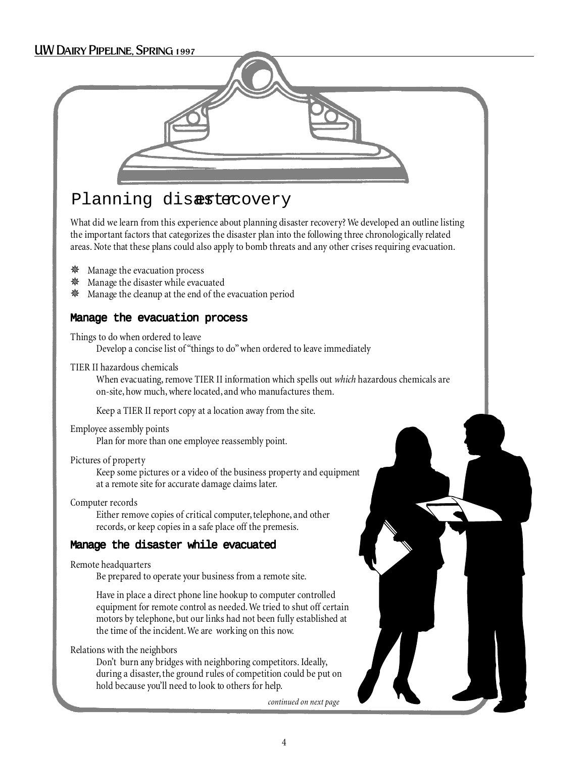#### UW Dairy Pipeline, Spring 1997



### Planning disastecovery

What did we learn from this experience about planning disaster recovery? We developed an outline listing the important factors that categorizes the disaster plan into the following three chronologically related areas. Note that these plans could also apply to bomb threats and any other crises requiring evacuation.

- ✵ Manage the evacuation process
- ✵ Manage the disaster while evacuated
- ✵ Manage the cleanup at the end of the evacuation period

#### Manage the evacuation process

Things to do when ordered to leave Develop a concise list of "things to do" when ordered to leave immediately

#### TIER II hazardous chemicals

When evacuating, remove TIER II information which spells out *which* hazardous chemicals are on-site, how much, where located, and who manufactures them.

Keep a TIER II report copy at a location away from the site.

#### Employee assembly points

Plan for more than one employee reassembly point.

#### Pictures of property

Keep some pictures or a video of the business property and equipment at a remote site for accurate damage claims later.

Computer records

Either remove copies of critical computer, telephone, and other records, or keep copies in a safe place off the premesis.

#### Manage the disaster while evacuated

Remote headquarters

Be prepared to operate your business from a remote site.

Have in place a direct phone line hookup to computer controlled equipment for remote control as needed. We tried to shut off certain motors by telephone, but our links had not been fully established at the time of the incident. We are working on this now.

Relations with the neighbors

Don't burn any bridges with neighboring competitors. Ideally, during a disaster, the ground rules of competition could be put on hold because you'll need to look to others for help.

*continued on next page*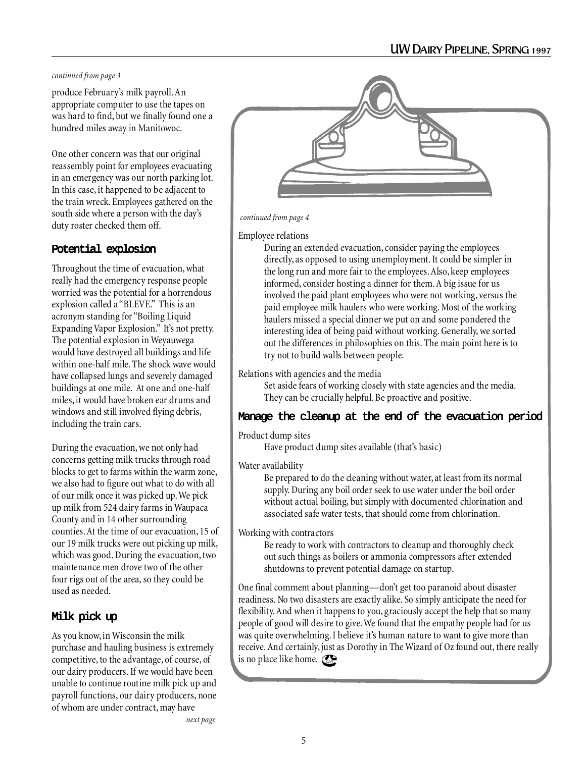#### *continued from page 3*

produce February's milk payroll. An appropriate computer to use the tapes on was hard to find, but we finally found one a hundred miles away in Manitowoc.

One other concern was that our original reassembly point for employees evacuating in an emergency was our north parking lot. In this case, it happened to be adjacent to the train wreck. Employees gathered on the south side where a person with the day's duty roster checked them off.

#### Potential explosion

Throughout the time of evacuation, what really had the emergency response people worried was the potential for a horrendous explosion called a "BLEVE." This is an acronym standing for "Boiling Liquid Expanding Vapor Explosion." It's not pretty. The potential explosion in Weyauwega would have destroyed all buildings and life within one-half mile. The shock wave would have collapsed lungs and severely damaged buildings at one mile. At one and one-half miles, it would have broken ear drums and windows and still involved flying debris, including the train cars.

During the evacuation, we not only had concerns getting milk trucks through road blocks to get to farms within the warm zone, we also had to figure out what to do with all of our milk once it was picked up. We pick up milk from 524 dairy farms in Waupaca County and in 14 other surrounding counties. At the time of our evacuation, 15 of our 19 milk trucks were out picking up milk, which was good. During the evacuation, two maintenance men drove two of the other four rigs out of the area, so they could be used as needed.

#### Milk pick up

As you know, in Wisconsin the milk purchase and hauling business is extremely competitive, to the advantage, of course, of our dairy producers. If we would have been unable to continue routine milk pick up and payroll functions, our dairy producers, none of whom are under contract, may have



#### *continued from page 4*

#### Employee relations

During an extended evacuation, consider paying the employees directly, as opposed to using unemployment. It could be simpler in the long run and more fair to the employees. Also, keep employees informed, consider hosting a dinner for them. A big issue for us involved the paid plant employees who were not working, versus the paid employee milk haulers who were working. Most of the working haulers missed a special dinner we put on and some pondered the interesting idea of being paid without working. Generally, we sorted out the differences in philosophies on this. The main point here is to try not to build walls between people.

#### Relations with agencies and the media

Set aside fears of working closely with state agencies and the media. They can be crucially helpful. Be proactive and positive.

#### Manage the cleanup at the end of the evacuation period

#### Product dump sites

Have product dump sites available (that's basic)

#### Water availability

Be prepared to do the cleaning without water, at least from its normal supply. During any boil order seek to use water under the boil order without actual boiling, but simply with documented chlorination and associated safe water tests, that should come from chlorination.

Working with contractors

Be ready to work with contractors to cleanup and thoroughly check out such things as boilers or ammonia compressors after extended shutdowns to prevent potential damage on startup.

One final comment about planning—don't get too paranoid about disaster readiness. No two disasters are exactly alike. So simply anticipate the need for flexibility. And when it happens to you, graciously accept the help that so many people of good will desire to give. We found that the empathy people had for us was quite overwhelming. I believe it's human nature to want to give more than receive. And certainly, just as Dorothy in The Wizard of Oz found out, there really is no place like home.  $\mathbb{C}$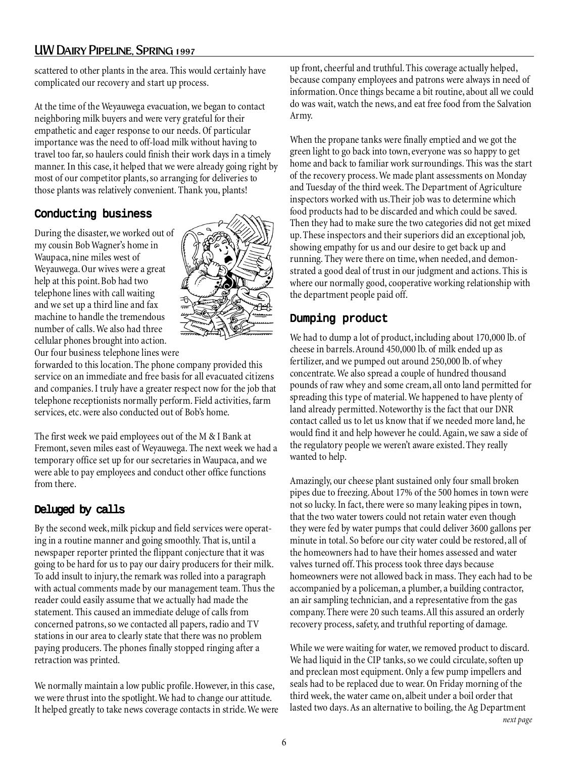#### UW Dairy Pipeline, Spring 1997

scattered to other plants in the area. This would certainly have complicated our recovery and start up process.

At the time of the Weyauwega evacuation, we began to contact neighboring milk buyers and were very grateful for their empathetic and eager response to our needs. Of particular importance was the need to off-load milk without having to travel too far, so haulers could finish their work days in a timely manner. In this case, it helped that we were already going right by most of our competitor plants, so arranging for deliveries to those plants was relatively convenient. Thank you, plants!

#### Conducting business

During the disaster, we worked out of my cousin Bob Wagner's home in Waupaca, nine miles west of Weyauwega. Our wives were a great help at this point. Bob had two telephone lines with call waiting and we set up a third line and fax machine to handle the tremendous number of calls. We also had three cellular phones brought into action. Our four business telephone lines were



forwarded to this location. The phone company provided this service on an immediate and free basis for all evacuated citizens and companies. I truly have a greater respect now for the job that telephone receptionists normally perform. Field activities, farm services, etc. were also conducted out of Bob's home.

The first week we paid employees out of the M & I Bank at Fremont, seven miles east of Weyauwega. The next week we had a temporary office set up for our secretaries in Waupaca, and we were able to pay employees and conduct other office functions from there.

#### Deluged by calls

By the second week, milk pickup and field services were operating in a routine manner and going smoothly. That is, until a newspaper reporter printed the flippant conjecture that it was going to be hard for us to pay our dairy producers for their milk. To add insult to injury, the remark was rolled into a paragraph with actual comments made by our management team. Thus the reader could easily assume that we actually had made the statement. This caused an immediate deluge of calls from concerned patrons, so we contacted all papers, radio and TV stations in our area to clearly state that there was no problem paying producers. The phones finally stopped ringing after a retraction was printed.

We normally maintain a low public profile. However, in this case, we were thrust into the spotlight. We had to change our attitude. It helped greatly to take news coverage contacts in stride. We were

up front, cheerful and truthful. This coverage actually helped, because company employees and patrons were always in need of information. Once things became a bit routine, about all we could do was wait, watch the news, and eat free food from the Salvation Army.

When the propane tanks were finally emptied and we got the green light to go back into town, everyone was so happy to get home and back to familiar work surroundings. This was the start of the recovery process. We made plant assessments on Monday and Tuesday of the third week. The Department of Agriculture inspectors worked with us.Their job was to determine which food products had to be discarded and which could be saved. Then they had to make sure the two categories did not get mixed up. These inspectors and their superiors did an exceptional job, showing empathy for us and our desire to get back up and running. They were there on time, when needed, and demonstrated a good deal of trust in our judgment and actions. This is where our normally good, cooperative working relationship with the department people paid off.

#### Dumping product

We had to dump a lot of product, including about 170,000 lb. of cheese in barrels. Around 450,000 lb. of milk ended up as fertilizer, and we pumped out around 250,000 lb. of whey concentrate. We also spread a couple of hundred thousand pounds of raw whey and some cream, all onto land permitted for spreading this type of material. We happened to have plenty of land already permitted. Noteworthy is the fact that our DNR contact called us to let us know that if we needed more land, he would find it and help however he could. Again, we saw a side of the regulatory people we weren't aware existed. They really wanted to help.

Amazingly, our cheese plant sustained only four small broken pipes due to freezing. About 17% of the 500 homes in town were not so lucky. In fact, there were so many leaking pipes in town, that the two water towers could not retain water even though they were fed by water pumps that could deliver 3600 gallons per minute in total. So before our city water could be restored, all of the homeowners had to have their homes assessed and water valves turned off. This process took three days because homeowners were not allowed back in mass. They each had to be accompanied by a policeman, a plumber, a building contractor, an air sampling technician, and a representative from the gas company. There were 20 such teams. All this assured an orderly recovery process, safety, and truthful reporting of damage.

While we were waiting for water, we removed product to discard. We had liquid in the CIP tanks, so we could circulate, soften up and preclean most equipment. Only a few pump impellers and seals had to be replaced due to wear. On Friday morning of the third week, the water came on, albeit under a boil order that lasted two days. As an alternative to boiling, the Ag Department *next page*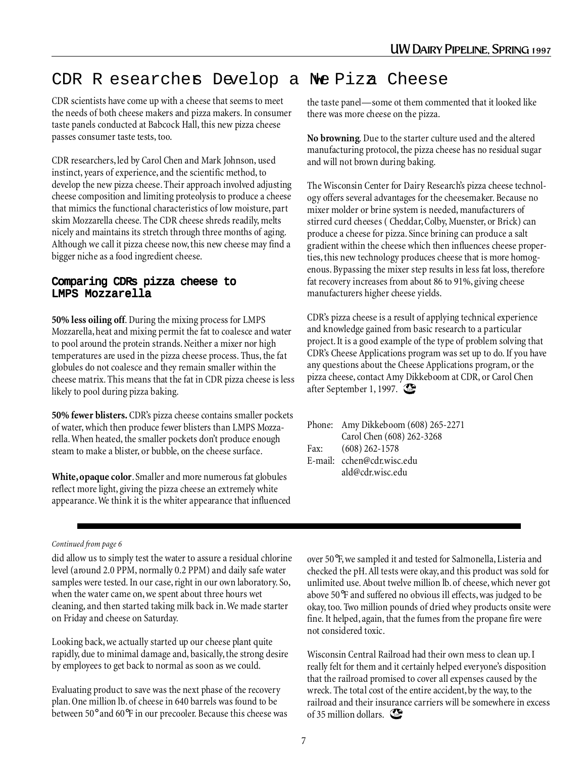### CDR R esearchers Develop a Ne Piza Cheese

CDR scientists have come up with a cheese that seems to meet the needs of both cheese makers and pizza makers. In consumer taste panels conducted at Babcock Hall, this new pizza cheese passes consumer taste tests, too.

CDR researchers, led by Carol Chen and Mark Johnson, used instinct, years of experience, and the scientific method, to develop the new pizza cheese. Their approach involved adjusting cheese composition and limiting proteolysis to produce a cheese that mimics the functional characteristics of low moisture, part skim Mozzarella cheese. The CDR cheese shreds readily, melts nicely and maintains its stretch through three months of aging. Although we call it pizza cheese now, this new cheese may find a bigger niche as a food ingredient cheese.

#### Comparing CDRÕs pizza cheese to LMPS Mozzarella

**50% less oiling off**. During the mixing process for LMPS Mozzarella, heat and mixing permit the fat to coalesce and water to pool around the protein strands. Neither a mixer nor high temperatures are used in the pizza cheese process. Thus, the fat globules do not coalesce and they remain smaller within the cheese matrix. This means that the fat in CDR pizza cheese is less likely to pool during pizza baking.

**50% fewer blisters.** CDR's pizza cheese contains smaller pockets of water, which then produce fewer blisters than LMPS Mozzarella. When heated, the smaller pockets don't produce enough steam to make a blister, or bubble, on the cheese surface.

**White, opaque color**. Smaller and more numerous fat globules reflect more light, giving the pizza cheese an extremely white appearance. We think it is the whiter appearance that influenced the taste panel—some ot them commented that it looked like there was more cheese on the pizza.

**No browning**. Due to the starter culture used and the altered manufacturing protocol, the pizza cheese has no residual sugar and will not brown during baking.

The Wisconsin Center for Dairy Research's pizza cheese technology offers several advantages for the cheesemaker. Because no mixer molder or brine system is needed, manufacturers of stirred curd cheeses ( Cheddar, Colby, Muenster, or Brick) can produce a cheese for pizza. Since brining can produce a salt gradient within the cheese which then influences cheese properties, this new technology produces cheese that is more homogenous. Bypassing the mixer step results in less fat loss, therefore fat recovery increases from about 86 to 91%, giving cheese manufacturers higher cheese yields.

CDR's pizza cheese is a result of applying technical experience and knowledge gained from basic research to a particular project. It is a good example of the type of problem solving that CDR's Cheese Applications program was set up to do. If you have any questions about the Cheese Applications program, or the pizza cheese, contact Amy Dikkeboom at CDR, or Carol Chen after September 1, 1997.

|      | Phone: Amy Dikkeboom (608) 265-2271 |
|------|-------------------------------------|
|      | Carol Chen (608) 262-3268           |
| Fax: | $(608)$ 262-1578                    |
|      | E-mail: cchen@cdr.wisc.edu          |
|      | ald@cdr.wisc.edu                    |

#### *Continued from page 6*

did allow us to simply test the water to assure a residual chlorine level (around 2.0 PPM, normally 0.2 PPM) and daily safe water samples were tested. In our case, right in our own laboratory. So, when the water came on, we spent about three hours wet cleaning, and then started taking milk back in. We made starter on Friday and cheese on Saturday.

Looking back, we actually started up our cheese plant quite rapidly, due to minimal damage and, basically, the strong desire by employees to get back to normal as soon as we could.

Evaluating product to save was the next phase of the recovery plan. One million lb. of cheese in 640 barrels was found to be between 50° and 60°F in our precooler. Because this cheese was

over 50°F, we sampled it and tested for Salmonella, Listeria and checked the pH. All tests were okay, and this product was sold for unlimited use. About twelve million lb. of cheese, which never got above 50°F and suffered no obvious ill effects, was judged to be okay, too. Two million pounds of dried whey products onsite were fine. It helped, again, that the fumes from the propane fire were not considered toxic.

Wisconsin Central Railroad had their own mess to clean up. I really felt for them and it certainly helped everyone's disposition that the railroad promised to cover all expenses caused by the wreck. The total cost of the entire accident, by the way, to the railroad and their insurance carriers will be somewhere in excess of 35 million dollars.  $\mathbb{C}$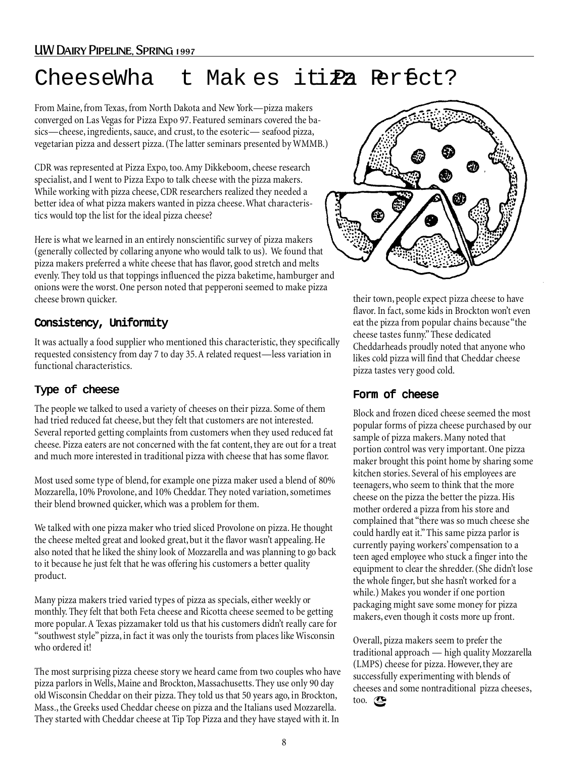## $Cheese\tilde{N}$ Wha t Makes iti $\tilde{z}$ a Perfect?

From Maine, from Texas, from North Dakota and New York—pizza makers converged on Las Vegas for Pizza Expo 97. Featured seminars covered the basics—cheese, ingredients, sauce, and crust, to the esoteric— seafood pizza, vegetarian pizza and dessert pizza. (The latter seminars presented by WMMB.)

CDR was represented at Pizza Expo, too. Amy Dikkeboom, cheese research specialist, and I went to Pizza Expo to talk cheese with the pizza makers. While working with pizza cheese, CDR researchers realized they needed a better idea of what pizza makers wanted in pizza cheese. What characteristics would top the list for the ideal pizza cheese?

Here is what we learned in an entirely nonscientific survey of pizza makers (generally collected by collaring anyone who would talk to us). We found that pizza makers preferred a white cheese that has flavor, good stretch and melts evenly. They told us that toppings influenced the pizza baketime, hamburger and onions were the worst. One person noted that pepperoni seemed to make pizza cheese brown quicker.

#### Consistency, Uniformity

It was actually a food supplier who mentioned this characteristic, they specifically requested consistency from day 7 to day 35. A related request—less variation in functional characteristics.

#### Type of cheese

The people we talked to used a variety of cheeses on their pizza. Some of them had tried reduced fat cheese, but they felt that customers are not interested. Several reported getting complaints from customers when they used reduced fat cheese. Pizza eaters are not concerned with the fat content, they are out for a treat and much more interested in traditional pizza with cheese that has some flavor.

Most used some type of blend, for example one pizza maker used a blend of 80% Mozzarella, 10% Provolone, and 10% Cheddar. They noted variation, sometimes their blend browned quicker, which was a problem for them.

We talked with one pizza maker who tried sliced Provolone on pizza. He thought the cheese melted great and looked great, but it the flavor wasn't appealing. He also noted that he liked the shiny look of Mozzarella and was planning to go back to it because he just felt that he was offering his customers a better quality product.

Many pizza makers tried varied types of pizza as specials, either weekly or monthly. They felt that both Feta cheese and Ricotta cheese seemed to be getting more popular. A Texas pizzamaker told us that his customers didn't really care for "southwest style" pizza, in fact it was only the tourists from places like Wisconsin who ordered it!

The most surprising pizza cheese story we heard came from two couples who have pizza parlors in Wells, Maine and Brockton, Massachusetts. They use only 90 day old Wisconsin Cheddar on their pizza. They told us that 50 years ago, in Brockton, Mass., the Greeks used Cheddar cheese on pizza and the Italians used Mozzarella. They started with Cheddar cheese at Tip Top Pizza and they have stayed with it. In



their town, people expect pizza cheese to have flavor. In fact, some kids in Brockton won't even eat the pizza from popular chains because "the cheese tastes funny." These dedicated Cheddarheads proudly noted that anyone who likes cold pizza will find that Cheddar cheese pizza tastes very good cold.

#### Form of cheese

Block and frozen diced cheese seemed the most popular forms of pizza cheese purchased by our sample of pizza makers. Many noted that portion control was very important. One pizza maker brought this point home by sharing some kitchen stories. Several of his employees are teenagers, who seem to think that the more cheese on the pizza the better the pizza. His mother ordered a pizza from his store and complained that "there was so much cheese she could hardly eat it." This same pizza parlor is currently paying workers' compensation to a teen aged employee who stuck a finger into the equipment to clear the shredder. (She didn't lose the whole finger, but she hasn't worked for a while.) Makes you wonder if one portion packaging might save some money for pizza makers, even though it costs more up front.

Overall, pizza makers seem to prefer the traditional approach — high quality Mozzarella (LMPS) cheese for pizza. However, they are successfully experimenting with blends of cheeses and some nontraditional pizza cheeses, too.  $\mathbb{C}$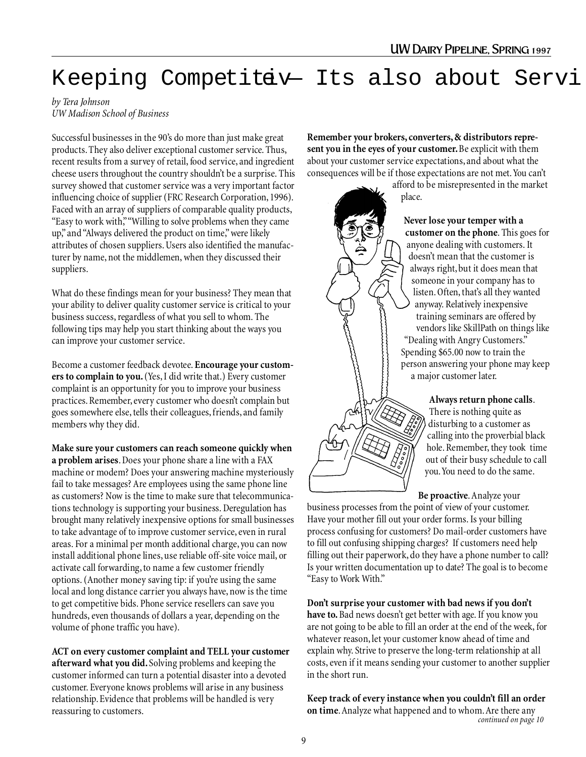# Keeping Competitav — It $\tilde{\mathbf{O}}$ s also about Serv.

#### *by Tera Johnson UW Madison School of Business*

Successful businesses in the 90's do more than just make great products. They also deliver exceptional customer service. Thus, recent results from a survey of retail, food service, and ingredient cheese users throughout the country shouldn't be a surprise. This survey showed that customer service was a very important factor influencing choice of supplier (FRC Research Corporation, 1996). Faced with an array of suppliers of comparable quality products, "Easy to work with," "Willing to solve problems when they came up," and "Always delivered the product on time," were likely attributes of chosen suppliers. Users also identified the manufacturer by name, not the middlemen, when they discussed their suppliers.

What do these findings mean for your business? They mean that your ability to deliver quality customer service is critical to your business success, regardless of what you sell to whom. The following tips may help you start thinking about the ways you can improve your customer service.

Become a customer feedback devotee. **Encourage your customers to complain to you.** (Yes, I did write that.) Every customer complaint is an opportunity for you to improve your business practices. Remember, every customer who doesn't complain but goes somewhere else, tells their colleagues, friends, and family members why they did.

**Make sure your customers can reach someone quickly when a problem arises**. Does your phone share a line with a FAX machine or modem? Does your answering machine mysteriously fail to take messages? Are employees using the same phone line as customers? Now is the time to make sure that telecommunications technology is supporting your business. Deregulation has brought many relatively inexpensive options for small businesses to take advantage of to improve customer service, even in rural areas. For a minimal per month additional charge, you can now install additional phone lines, use reliable off-site voice mail, or activate call forwarding, to name a few customer friendly options. (Another money saving tip: if you're using the same local and long distance carrier you always have, now is the time to get competitive bids. Phone service resellers can save you hundreds, even thousands of dollars a year, depending on the volume of phone traffic you have).

**ACT on every customer complaint and TELL your customer afterward what you did.** Solving problems and keeping the customer informed can turn a potential disaster into a devoted customer. Everyone knows problems will arise in any business relationship. Evidence that problems will be handled is very reassuring to customers.

**Remember your brokers, converters, & distributors represent you in the eyes of your customer.** Be explicit with them about your customer service expectations, and about what the consequences will be if those expectations are not met. You can't

afford to be misrepresented in the market place.

> **Never lose your temper with a customer on the phone**. This goes for anyone dealing with customers. It doesn't mean that the customer is always right, but it does mean that someone in your company has to listen. Often, that's all they wanted anyway. Relatively inexpensive training seminars are offered by vendors like SkillPath on things like "Dealing with Angry Customers." Spending \$65.00 now to train the person answering your phone may keep a major customer later.

> > **Always return phone calls**. There is nothing quite as disturbing to a customer as calling into the proverbial black hole. Remember, they took time out of their busy schedule to call you. You need to do the same.

**Be proactive**. Analyze your

business processes from the point of view of your customer. Have your mother fill out your order forms. Is your billing process confusing for customers? Do mail-order customers have to fill out confusing shipping charges? If customers need help filling out their paperwork, do they have a phone number to call? Is your written documentation up to date? The goal is to become "Easy to Work With."

**Don't surprise your customer with bad news if you don't have to.** Bad news doesn't get better with age. If you know you are not going to be able to fill an order at the end of the week, for whatever reason, let your customer know ahead of time and explain why. Strive to preserve the long-term relationship at all costs, even if it means sending your customer to another supplier in the short run.

**Keep track of every instance when you couldn't fill an order on time**. Analyze what happened and to whom. Are there any *continued on page 10*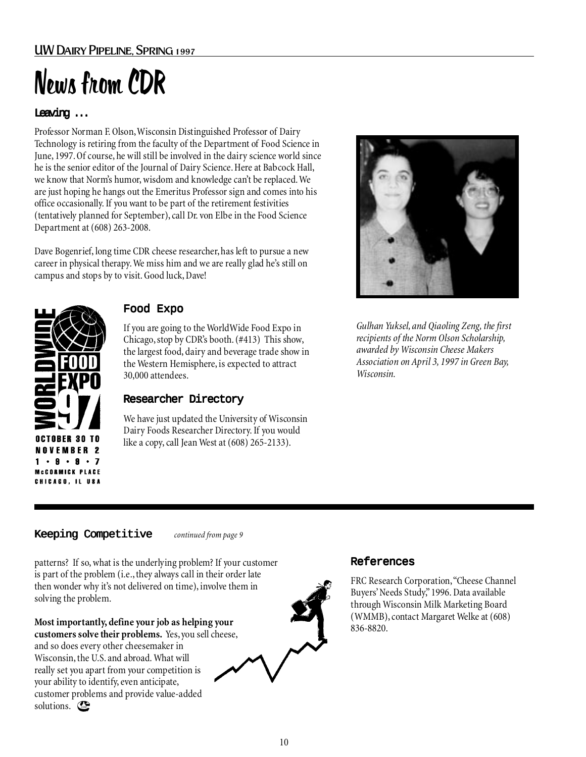#### UW Dairy Pipeline, Spring 1997

# News from CDR

#### Leaving ...

Professor Norman F. Olson, Wisconsin Distinguished Professor of Dairy Technology is retiring from the faculty of the Department of Food Science in June, 1997. Of course, he will still be involved in the dairy science world since he is the senior editor of the Journal of Dairy Science. Here at Babcock Hall, we know that Norm's humor, wisdom and knowledge can't be replaced. We are just hoping he hangs out the Emeritus Professor sign and comes into his office occasionally. If you want to be part of the retirement festivities (tentatively planned for September), call Dr. von Elbe in the Food Science Department at (608) 263-2008.

Dave Bogenrief, long time CDR cheese researcher, has left to pursue a new career in physical therapy. We miss him and we are really glad he's still on campus and stops by to visit. Good luck, Dave!



#### Food Expo

If you are going to the WorldWide Food Expo in Chicago, stop by CDR's booth. (#413) This show, the largest food, dairy and beverage trade show in the Western Hemisphere, is expected to attract 30,000 attendees.

#### Researcher Directory

We have just updated the University of Wisconsin Dairy Foods Researcher Directory. If you would like a copy, call Jean West at (608) 265-2133).



*Gulhan Yuksel, and Qiaoling Zeng, the first recipients of the Norm Olson Scholarship, awarded by Wisconsin Cheese Makers Association on April 3, 1997 in Green Bay, Wisconsin.*

#### Keeping Competitive

*continued from page 9*

patterns? If so, what is the underlying problem? If your customer is part of the problem (i.e., they always call in their order late then wonder why it's not delivered on time), involve them in solving the problem.

**Most importantly, define your job as helping your customers solve their problems.**Yes, you sell cheese, and so does every other cheesemaker in Wisconsin, the U.S. and abroad. What will really set you apart from your competition is your ability to identify, even anticipate, customer problems and provide value-added solutions.



#### References

FRC Research Corporation, "Cheese Channel Buyers' Needs Study," 1996. Data available through Wisconsin Milk Marketing Board (WMMB), contact Margaret Welke at (608) 836-8820.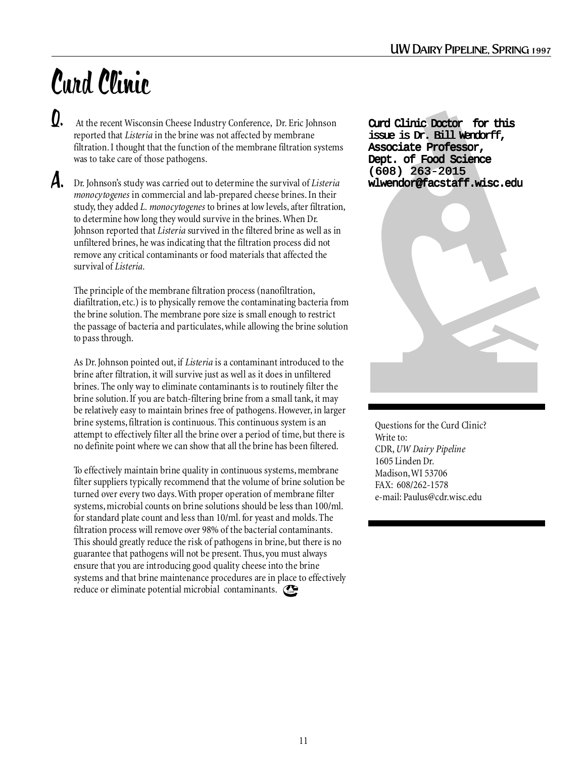# Curd Clinic

At the recent Wisconsin Cheese Industry Conference, Dr. Eric Johnson reported that *Listeria* in the brine was not affected by membrane filtration. I thought that the function of the membrane filtration systems was to take care of those pathogens. Q.

Dr. Johnson's study was carried out to determine the survival of *Listeria* A. *monocytogenes* in commercial and lab-prepared cheese brines. In their study, they added *L. monocytogenes* to brines at low levels, after filtration, to determine how long they would survive in the brines. When Dr. Johnson reported that *Listeria* survived in the filtered brine as well as in unfiltered brines, he was indicating that the filtration process did not remove any critical contaminants or food materials that affected the survival of *Listeria*.

The principle of the membrane filtration process (nanofiltration, diafiltration, etc.) is to physically remove the contaminating bacteria from the brine solution. The membrane pore size is small enough to restrict the passage of bacteria and particulates, while allowing the brine solution to pass through.

As Dr. Johnson pointed out, if *Listeria* is a contaminant introduced to the brine after filtration, it will survive just as well as it does in unfiltered brines. The only way to eliminate contaminants is to routinely filter the brine solution. If you are batch-filtering brine from a small tank, it may be relatively easy to maintain brines free of pathogens. However, in larger brine systems, filtration is continuous. This continuous system is an attempt to effectively filter all the brine over a period of time, but there is no definite point where we can show that all the brine has been filtered.

To effectively maintain brine quality in continuous systems, membrane filter suppliers typically recommend that the volume of brine solution be turned over every two days. With proper operation of membrane filter systems, microbial counts on brine solutions should be less than 100/ml. for standard plate count and less than 10/ml. for yeast and molds. The filtration process will remove over 98% of the bacterial contaminants. This should greatly reduce the risk of pathogens in brine, but there is no guarantee that pathogens will not be present. Thus, you must always ensure that you are introducing good quality cheese into the brine systems and that brine maintenance procedures are in place to effectively reduce or eliminate potential microbial contaminants. Com

Curd Clinic Doctor for this issue is Dr. Bill Wendorff, Associate Professor, Dept. of Food Science (608) 263-2015 wlwendor@facstaff.wisc.edu



Questions for the Curd Clinic? Write to: CDR, *UW Dairy Pipeline* 1605 Linden Dr. Madison, WI 53706 FAX: 608/262-1578 e-mail: Paulus@cdr.wisc.edu